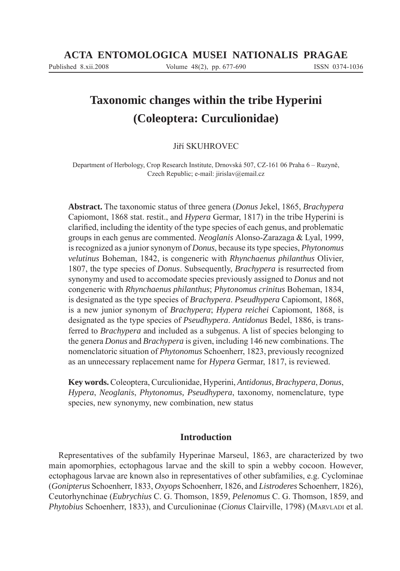# **Taxonomic changes within the tribe Hyperini (Coleoptera: Curculionidae)**

# Jiří SKUHROVEC

Department of Herbology, Crop Research Institute, Drnovská 507, CZ-161 06 Praha 6 – Ruzyně, Czech Republic; e-mail: jirislav@email.cz

**Abstract.** The taxonomic status of three genera (*Donus* Jekel, 1865, *Brachypera*  Capiomont, 1868 stat. restit., and *Hypera* Germar, 1817) in the tribe Hyperini is clarified, including the identity of the type species of each genus, and problematic groups in each genus are commented. *Neoglanis* Alonso-Zarazaga & Lyal, 1999, is recognized as a junior synonym of *Donus*, because its type species, *Phytonomus velutinus* Boheman, 1842, is congeneric with *Rhynchaenus philanthus* Olivier, 1807, the type species of *Donus*. Subsequently, *Brachypera* is resurrected from synonymy and used to accomodate species previously assigned to *Donus* and not congeneric with *Rhynchaenus philanthus*; *Phytonomus crinitus* Boheman, 1834, is designated as the type species of *Brachypera*. *Pseudhypera* Capiomont, 1868, is a new junior synonym of *Brachypera*; *Hypera reichei* Capiomont, 1868, is designated as the type species of *Pseudhypera*. *Antidonus* Bedel, 1886, is transferred to *Brachypera* and included as a subgenus. A list of species belonging to the genera *Donus* and *Brachypera* is given, including 146 new combinations. The nomenclatoric situation of *Phytonomus* Schoenherr, 1823, previously recognized as an unnecessary replacement name for *Hypera* Germar, 1817, is reviewed.

**Key words.** Coleoptera, Curculionidae, Hyperini, *Antidonus, Brachypera*, *Donus*, *Hypera*, *Neoglanis*, *Phytonomus, Pseudhypera*, taxonomy, nomenclature, type species, new synonymy, new combination, new status

# **Introduction**

Representatives of the subfamily Hyperinae Marseul, 1863, are characterized by two main apomorphies, ectophagous larvae and the skill to spin a webby cocoon. However, ectophagous larvae are known also in representatives of other subfamilies, e.g. Cyclominae (*Gonipterus* Schoenherr, 1833, *Oxyops* Schoenherr, 1826, and *Listroderes* Schoenherr, 1826), Ceutorhynchinae (*Eubrychius* C. G. Thomson, 1859, *Pelenomus* C. G. Thomson, 1859, and *Phytobius* Schoenherr, 1833), and Curculioninae (*Cionus* Clairville, 1798) (MARVLADI et al.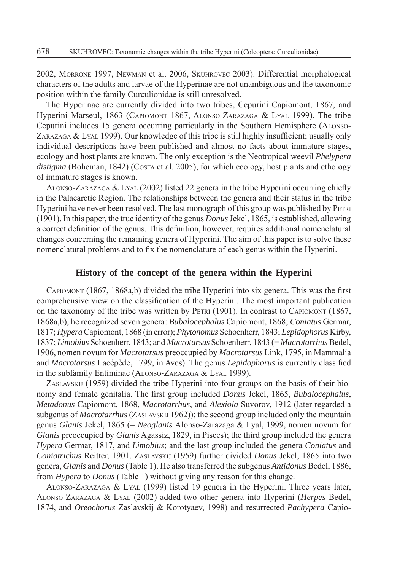2002, MORRONE 1997, NEWMAN et al. 2006, SKUHROVEC 2003). Differential morphological characters of the adults and larvae of the Hyperinae are not unambiguous and the taxonomic position within the family Curculionidae is still unresolved.

The Hyperinae are currently divided into two tribes, Cepurini Capiomont, 1867, and Hyperini Marseul, 1863 (CAPIOMONT 1867, ALONSO-ZARAZAGA & LYAL 1999). The tribe Cepurini includes 15 genera occurring particularly in the Southern Hemisphere (ALONSO- $ZARAZAGA \& LYAL$  1999). Our knowledge of this tribe is still highly insufficient; usually only individual descriptions have been published and almost no facts about immature stages, ecology and host plants are known. The only exception is the Neotropical weevil *Phelypera*  distigma (Boheman, 1842) (Costa et al. 2005), for which ecology, host plants and ethology of immature stages is known.

ALONSO-ZARAZAGA  $&$  LYAL (2002) listed 22 genera in the tribe Hyperini occurring chiefly in the Palaearctic Region. The relationships between the genera and their status in the tribe Hyperini have never been resolved. The last monograph of this group was published by PETRI (1901). In this paper, the true identity of the genus *Donus* Jekel, 1865, is established, allowing a correct definition of the genus. This definition, however, requires additional nomenclatural changes concerning the remaining genera of Hyperini. The aim of this paper is to solve these nomenclatural problems and to fix the nomenclature of each genus within the Hyperini.

## **History of the concept of the genera within the Hyperini**

CAPIOMONT  $(1867, 1868a,b)$  divided the tribe Hyperini into six genera. This was the first comprehensive view on the classification of the Hyperini. The most important publication on the taxonomy of the tribe was written by PETRI (1901). In contrast to CAPIOMONT (1867, 1868a,b), he recognized seven genera: *Bubalocephalus* Capiomont, 1868; *Coniatus* Germar, 1817; *Hypera* Capiomont, 1868 (in error); *Phytonomus* Schoenherr, 1843; *Lepidophorus* Kirby, 1837; *Limobius* Schoenherr, 1843; and *Macrotarsus* Schoenherr, 1843 (= *Macrotarrhus* Bedel, 1906, nomen novum for *Macrotarsus* preoccupied by *Macrotarsus* Link, 1795, in Mammalia and *Macrotarsus* Lacépède, 1799, in Aves). The genus *Lepidophorus* is currently classified in the subfamily Entiminae (ALONSO-ZARAZAGA & LYAL 1999).

ZASLAVSKIJ (1959) divided the tribe Hyperini into four groups on the basis of their bionomy and female genitalia. The first group included *Donus* Jekel, 1865, *Bubalocephalus*, *Metadonus* Capiomont, 1868, *Macrotarrhus*, and *Alexiola* Suvorov, 1912 (later regarded a subgenus of *Macrotarrhus* (ZASLAVSKIJ 1962)); the second group included only the mountain genus *Glanis* Jekel, 1865 (= *Neoglanis* Alonso-Zarazaga & Lyal, 1999, nomen novum for *Glanis* preoccupied by *Glanis* Agassiz, 1829, in Pisces); the third group included the genera *Hypera* Germar, 1817, and *Limobius*; and the last group included the genera *Coniatus* and *Coniatrichus* Reitter, 1901. ZASLAVSKIJ (1959) further divided *Donus* Jekel, 1865 into two genera, *Glanis* and *Donus* (Table 1). He also transferred the subgenus *Antidonus* Bedel, 1886, from *Hypera* to *Donus* (Table 1) without giving any reason for this change.

ALONSO-ZARAZAGA & LYAL (1999) listed 19 genera in the Hyperini. Three years later, ALONSO-ZARAZAGA & LYAL (2002) added two other genera into Hyperini (*Herpes* Bedel, 1874, and *Oreochorus* Zaslavskij & Korotyaev, 1998) and resurrected *Pachypera* Capio-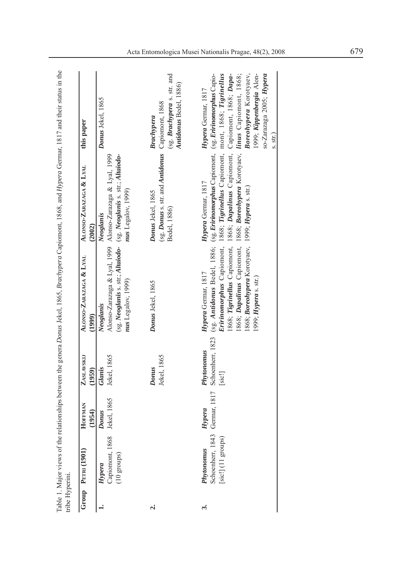|                    | Group PETRI (1901)                                                  | HOFFMAN<br>(1954) | ZASLAVSKI<br>(1959)                      | ALONSO-ZARAZAGA & LYAL<br>(1999)                                                                   | ALONSO-ZARAZAGA & LYAL<br>(2002)                                                                                                                                                                                                                                                                                                                                   | this paper                                                                                                       |
|--------------------|---------------------------------------------------------------------|-------------------|------------------------------------------|----------------------------------------------------------------------------------------------------|--------------------------------------------------------------------------------------------------------------------------------------------------------------------------------------------------------------------------------------------------------------------------------------------------------------------------------------------------------------------|------------------------------------------------------------------------------------------------------------------|
|                    | Capiomont, 1868 Jekel, 1865<br>$(10 \text{ groups})$<br>Hypera      | Donus             | Jekel, 1865<br>Glanis                    | nus Legalov, 1999)<br>Neoglanis                                                                    | Alonso-Zarazaga & Lyal, 1999 Alonso-Zarazaga & Lyal, 1999<br>(sg. Neoglanis s. str.; Altaiodo- (sg. Neoglanis s. str.; Altaiodo-<br>nus Legalov, 1999)<br>Neoglanis                                                                                                                                                                                                | Donus Jekel, 1865                                                                                                |
| $\dot{\mathbf{r}}$ |                                                                     |                   | Jekel, 1865<br>Donus                     | Donus Jekel, 1865                                                                                  | (sg. <b>Donus</b> s. str. and <i>Antidonus</i> Capiomont, 1868<br>Donus Jekel, 1865<br>Bedel, 1886)                                                                                                                                                                                                                                                                | (sg. Brachypera s. str. and<br>Antidonus Bedel, 1886)<br>Brachypera                                              |
| \$                 | Schoenherr, 1843 Germar, 1817<br>$[sic!]$ (11 groups)<br>Phytonomus | Hypera            | Schoenherr, 1823<br>Phytonomus<br>[sic!] | 1868; Boreohypera Korotyaev, 1999; Hypera s. str.)<br>Hypera Germar, 1817<br>1999; Hypera s. str.) | Eririnomorphus Capiomont, 1868; Tigrinellus Capiomont, mont, 1868; Tigrinellus<br>1868; Dapalinus Capiomont, 1868; Boreohypera Korotyaev, linus Capiomont, 1868;<br>(sg. Antidonus Bedel, 1886; (sg. Eririnomorphus Capiomont, (sg. Eririnomorphus Capio-<br>1868; Tigrinellus Capiomont, 1868; Dapalinus Capiomont, Capiomont, 1868; Dapa-<br>Hypera Germar, 1817 | Boreohypera Korotyaev,<br>1999; Kippenbergia Alon-<br>so-Zarazaga 2005; Hypera<br>Hypera Germar, 1817<br>s. str. |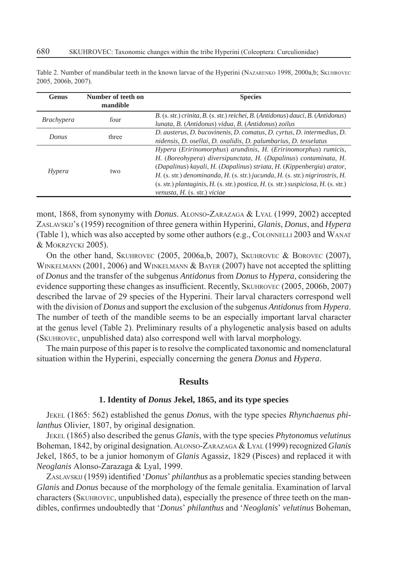| <b>Genus</b>               | Number of teeth on<br>mandible | <b>Species</b>                                                                             |
|----------------------------|--------------------------------|--------------------------------------------------------------------------------------------|
| <i>Brachypera</i><br>Donus | four                           | B. (s. str.) crinita, B. (s. str.) reichei, B. (Antidonus) dauci, B. (Antidonus)           |
|                            |                                | lunata, B. (Antidonus) vidua, B. (Antidonus) zoilus                                        |
|                            | three                          | D. austerus, D. bucovinenis, D. comatus, D. cyrtus, D. intermedius, D.                     |
|                            |                                | nidensis, D. osellai, D. oxalidis, D. palumbarius, D. tesselatus                           |
|                            |                                | Hypera (Eririnomorphus) arundinis, H. (Eririnomorphus) rumicis,                            |
|                            | two                            | H. (Boreohypera) diversipunctata, H. (Dapalinus) contaminata, H.                           |
| Hypera                     |                                | (Dapalinus) kayali, H. (Dapalinus) striata, H. (Kippenbergia) arator,                      |
|                            |                                | H. (s. str.) denominanda, H. (s. str.) jucunda, H. (s. str.) nigrirostris, H.              |
|                            |                                | $(s. str.)$ plantaginis, $H.$ (s. str.) postica, $H.$ (s. str.) suspiciosa, $H.$ (s. str.) |
|                            |                                | venusta, H. (s. str.) viciae                                                               |

Table 2. Number of mandibular teeth in the known larvae of the Hyperini (NAZARENKO 1998, 2000a,b; SKUHROVEC 2005, 2006b, 2007).

mont, 1868, from synonymy with *Donus*. ALONSO-ZARAZAGA & LYAL (1999, 2002) accepted ZASLAVSKIJ's (1959) recognition of three genera within Hyperini, *Glanis*, *Donus*, and *Hypera*  (Table 1), which was also accepted by some other authors (e.g., COLONNELLI 2003 and WANAT & MOKRZYCKI 2005).

On the other hand, SKUHROVEC (2005, 2006a,b, 2007), SKUHROVEC & BOROVEC (2007), WINKELMANN (2001, 2006) and WINKELMANN & BAYER (2007) have not accepted the splitting of *Donus* and the transfer of the subgenus *Antidonus* from *Donus* to *Hypera*, considering the evidence supporting these changes as insufficient. Recently, SKUHROVEC (2005, 2006b, 2007) described the larvae of 29 species of the Hyperini. Their larval characters correspond well with the division of *Donus* and support the exclusion of the subgenus *Antidonus* from *Hypera*. The number of teeth of the mandible seems to be an especially important larval character at the genus level (Table 2). Preliminary results of a phylogenetic analysis based on adults (SKUHROVEC, unpublished data) also correspond well with larval morphology.

The main purpose of this paper is to resolve the complicated taxonomic and nomenclatural situation within the Hyperini, especially concerning the genera *Donus* and *Hypera*.

# **Results**

#### **1. Identity of** *Donus* **Jekel, 1865, and its type species**

JEKEL (1865: 562) established the genus *Donus*, with the type species *Rhynchaenus philanthus* Olivier, 1807, by original designation.

JEKEL (1865) also described the genus *Glanis*, with the type species *Phytonomus velutinus* Boheman, 1842, by original designation. ALONSO-ZARAZAGA & LYAL (1999) recognized *Glanis* Jekel, 1865, to be a junior homonym of *Glanis* Agassiz, 1829 (Pisces) and replaced it with *Neoglanis* Alonso-Zarazaga & Lyal, 1999.

ZASLAVSKIJ (1959) identified '*Donus' philanthus* as a problematic species standing between *Glanis* and *Donus* because of the morphology of the female genitalia. Examination of larval characters (SKUHROVEC, unpublished data), especially the presence of three teeth on the mandibles, confi rmes undoubtedly that '*Donus*' *philanthus* and '*Neoglanis*' *velutinus* Boheman,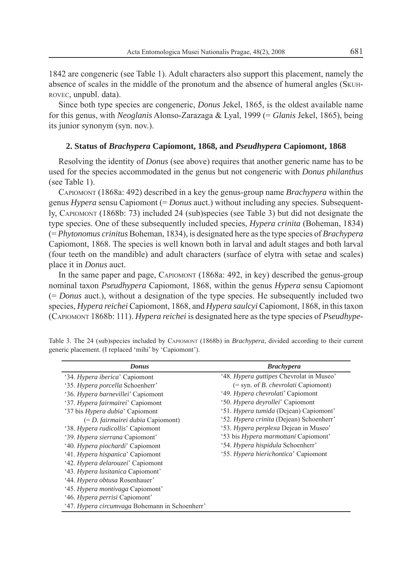1842 are congeneric (see Table 1). Adult characters also support this placement, namely the absence of scales in the middle of the pronotum and the absence of humeral angles (SKUH-ROVEC, unpubl. data).

Since both type species are congeneric, *Donus* Jekel, 1865, is the oldest available name for this genus, with *Neoglanis* Alonso-Zarazaga & Lyal, 1999 (= *Glanis* Jekel, 1865), being its junior synonym (syn. nov.).

# **2. Status of** *Brachypera* **Capiomont, 1868, and** *Pseudhypera* **Capiomont, 1868**

Resolving the identity of *Donus* (see above) requires that another generic name has to be used for the species accommodated in the genus but not congeneric with *Donus philanthus*  (see Table 1).

CAPIOMONT (1868a: 492) described in a key the genus-group name *Brachypera* within the genus *Hypera* sensu Capiomont (= *Donus* auct.) without including any species. Subsequently, CAPIOMONT (1868b: 73) included 24 (sub)species (see Table 3) but did not designate the type species. One of these subsequently included species, *Hypera crinita* (Boheman, 1834) (= *Phytonomus crinitus* Boheman, 1834), is designated here as the type species of *Brachypera*  Capiomont, 1868. The species is well known both in larval and adult stages and both larval (four teeth on the mandible) and adult characters (surface of elytra with setae and scales) place it in *Donus* auct.

In the same paper and page, CAPIOMONT (1868a: 492, in key) described the genus-group nominal taxon *Pseudhypera* Capiomont, 1868, within the genus *Hypera* sensu Capiomont (= *Donus* auct.), without a designation of the type species. He subsequently included two species, *Hypera reichei* Capiomont, 1868, and *Hypera saulcyi* Capiomont, 1868, in this taxon (CAPIOMONT 1868b: 111). *Hypera reichei* is designated here as the type species of *Pseudhype-*

| <b>Donus</b>                                   | <b>Brachypera</b>                            |
|------------------------------------------------|----------------------------------------------|
| '34. Hypera iberica' Capiomont                 | '48. Hypera guttipes Chevrolat in Museo'     |
| '35. Hypera porcella Schoenherr'               | $(=$ syn. of <i>B. chevrolati</i> Capiomont) |
| '36. Hypera barnevillei' Capiomont             | '49. Hypera chevrolati' Capiomont            |
| '37. Hypera fairmairei' Capiomont              | '50. Hypera devrollei' Capiomont             |
| '37 bis <i>Hypera dubia</i> ' Capiomont        | '51. Hypera tumida (Dejean) Capiomont'       |
| $(=D.$ fairmairei dubia Capiomont)             | '52. Hypera crinita (Dejean) Schoenherr'     |
| '38. Hypera rudicollis' Capiomont              | '53. Hypera perplexa Dejean in Museo'        |
| '39. Hypera sierrana Capiomont'                | '53 bis Hypera marmottani Capiomont'         |
| '40. Hypera piochardi' Capiomont               | '54. Hypera hispidula Schoenherr'            |
| '41. Hypera hispanica' Capiomont               | '55. Hypera hierichontica' Capiomont         |
| '42. Hypera delarouzei' Capiomont              |                                              |
| '43. <i>Hypera lusitanica</i> Capiomont'       |                                              |
| '44. <i>Hypera obtusa</i> Rosenhauer'          |                                              |
| '45. Hypera montivaga Capiomont'               |                                              |
| '46. <i>Hypera perrisi</i> Capiomont'          |                                              |
| '47. Hypera circumvaga Bohemann in Schoenherr' |                                              |

Table 3. The 24 (sub)species included by CAPIOMONT (1868b) in *Brachypera*, divided according to their current generic placement. (I replaced 'mihi' by 'Capiomont').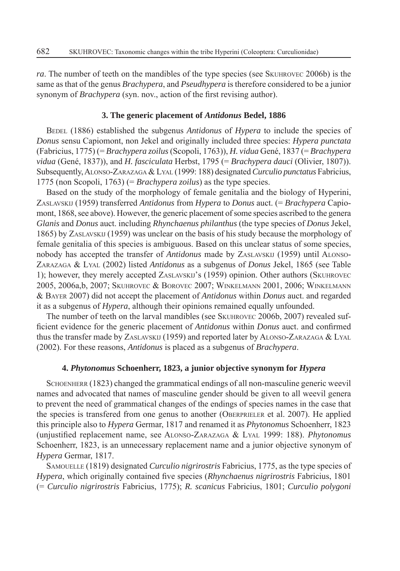*ra*. The number of teeth on the mandibles of the type species (see SKUHROVEC 2006b) is the same as that of the genus *Brachypera*, and *Pseudhypera* is therefore considered to be a junior synonym of *Brachypera* (syn. nov., action of the first revising author).

#### **3. The generic placement of** *Antidonus* **Bedel, 1886**

BEDEL (1886) established the subgenus *Antidonus* of *Hypera* to include the species of *Donus* sensu Capiomont, non Jekel and originally included three species: *Hypera punctata* (Fabricius, 1775) (= *Brachypera zoilus* (Scopoli, 1763)), *H. vidua* Gené, 1837 (= *Brachypera vidua* (Gené, 1837)), and *H. fasciculata* Herbst, 1795 (= *Brachypera dauci* (Olivier, 1807)). Subsequently, ALONSO-ZARAZAGA & LYAL (1999: 188) designated *Curculio punctatus* Fabricius, 1775 (non Scopoli, 1763) (= *Brachypera zoilus*) as the type species.

Based on the study of the morphology of female genitalia and the biology of Hyperini, ZASLAVSKIJ (1959) transferred *Antidonus* from *Hypera* to *Donus* auct. (= *Brachypera* Capiomont, 1868, see above). However, the generic placement of some species ascribed to the genera *Glanis* and *Donus* auct. including *Rhynchaenus philanthus* (the type species of *Donus* Jekel, 1865) by ZASLAVSKIJ (1959) was unclear on the basis of his study because the morphology of female genitalia of this species is ambiguous. Based on this unclear status of some species, nobody has accepted the transfer of *Antidonus* made by ZASLAVSKIJ (1959) until ALONSO-ZARAZAGA & LYAL (2002) listed *Antidonus* as a subgenus of *Donus* Jekel, 1865 (see Table 1); however, they merely accepted ZASLAVSKIJ's (1959) opinion. Other authors (SKUHROVEC 2005, 2006a,b, 2007; SKUHROVEC & BOROVEC 2007; WINKELMANN 2001, 2006; WINKELMANN & BAYER 2007) did not accept the placement of *Antidonus* within *Donus* auct. and regarded it as a subgenus of *Hypera*, although their opinions remained equally unfounded.

The number of teeth on the larval mandibles (see SKUHROVEC 2006b, 2007) revealed sufficient evidence for the generic placement of *Antidonus* within *Donus* auct. and confirmed thus the transfer made by ZASLAVSKIJ (1959) and reported later by ALONSO-ZARAZAGA & LYAL (2002). For these reasons, *Antidonus* is placed as a subgenus of *Brachypera*.

#### **4.** *Phytonomus* **Schoenherr, 1823, a junior objective synonym for** *Hypera*

SCHOENHERR (1823) changed the grammatical endings of all non-masculine generic weevil names and advocated that names of masculine gender should be given to all weevil genera to prevent the need of grammatical changes of the endings of species names in the case that the species is transfered from one genus to another (OBERPRIELER et al. 2007). He applied this principle also to *Hypera* Germar, 1817 and renamed it as *Phytonomus* Schoenherr, 1823 (unjustified replacement name, see ALONSO-ZARAZAGA & LYAL 1999: 188). *Phytonomus* Schoenherr, 1823, is an unnecessary replacement name and a junior objective synonym of *Hypera* Germar, 1817.

SAMOUELLE (1819) designated *Curculio nigrirostris* Fabricius, 1775, as the type species of *Hypera*, which originally contained five species *(Rhynchaenus nigrirostris* Fabricius, 1801) (= *Curculio nigrirostris* Fabricius, 1775); *R. scanicus* Fabricius, 1801; *Curculio polygoni*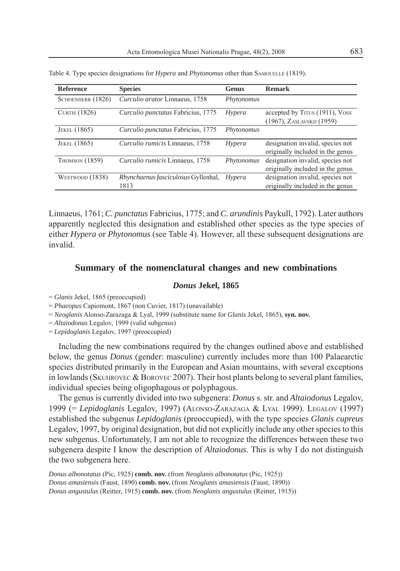| <b>Reference</b>      | <b>Species</b>                              | <b>Genus</b> | <b>Remark</b>                                                        |
|-----------------------|---------------------------------------------|--------------|----------------------------------------------------------------------|
| SCHOENHERR (1826)     | Curculio arator Linnaeus, 1758              | Phytonomus   |                                                                      |
| <b>CURTIS</b> (1826)  | Curculio punctatus Fabricius, 1775          | Hypera       | accepted by Tirus (1911), Voss<br>(1967), ZASLAVSKIJ (1959)          |
| JEKEL (1865)          | Curculio punctatus Fabricius, 1775          | Phytonomus   |                                                                      |
| JEKEL (1865)          | Curculio rumicis Linnaeus, 1758             | Hypera       | designation invalid, species not<br>originally included in the genus |
| <b>THOMSON (1859)</b> | Curculio rumicis Linnaeus, 1758             | Phytonomus   | designation invalid, species not<br>originally included in the genus |
| WESTWOOD $(1838)$     | Rhynchaenus fasciculosus Gyllenhal,<br>1813 | Hypera       | designation invalid, species not<br>originally included in the genus |

Table 4. Type species designations for *Hypera* and *Phytonomus* other than SAMOUELLE (1819).

Linnaeus, 1761; *C. punctatus* Fabricius, 1775; and *C. arundinis* Paykull, 1792). Later authors apparently neglected this designation and established other species as the type species of either *Hypera* or *Phytonomus* (see Table 4). However, all these subsequent designations are invalid.

# **Summary of the nomenclatural changes and new combinations**

# *Donus* **Jekel, 1865**

- = *Glanis* Jekel, 1865 (preoccupied)
- = *Phaeopus* Capiomont, 1867 (non Cuvier, 1817) (unavailable)
- = *Neoglanis* Alonso-Zarazaga & Lyal, 1999 (substitute name for *Glanis* Jekel, 1865), **syn. nov.**
- = *Altaiodonus* Legalov, 1999 (valid subgenus)

= *Lepidoglanis* Legalov, 1997 (preoccupied)

Including the new combinations required by the changes outlined above and established below, the genus *Donus* (gender: masculine) currently includes more than 100 Palaearctic species distributed primarily in the European and Asian mountains, with several exceptions in lowlands (SKUHROVEC  $\&$  BOROVEC 2007). Their host plants belong to several plant families, individual species being oligophagous or polyphagous.

The genus is currently divided into two subgenera: *Donus* s. str. and *Altaiodonus* Legalov, 1999 (= *Lepidoglanis* Legalov, 1997) (ALONSO-ZARAZAGA & LYAL 1999). LEGALOV (1997) established the subgenus *Lepidoglanis* (preoccupied), with the type species *Glanis cupreus*  Legalov, 1997, by original designation, but did not explicitly include any other species to this new subgenus. Unfortunately, I am not able to recognize the differences between these two subgenera despite I know the description of *Altaiodonus*. This is why I do not distinguish the two subgenera here.

*Donus albonotatus* (Pic, 1925) **comb. nov.** (from *Neoglanis albonotatus* (Pic, 1925)) *Donus amasiensis* (Faust, 1890) **comb. nov.** (from *Neoglanis amasiensis* (Faust, 1890)) *Donus angustulus* (Reitter, 1915) **comb. nov.** (from *Neoglanis angustulus* (Reitter, 1915))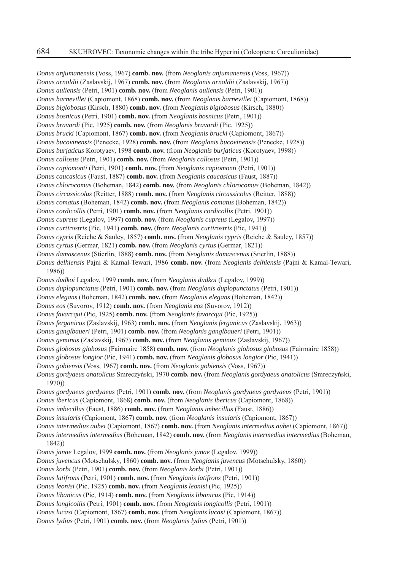*Donus anjumanensis* (Voss, 1967) **comb. nov.** (from *Neoglanis anjumanensis* (Voss, 1967)) *Donus arnoldii* (Zaslavskij, 1967) **comb. nov.** (from *Neoglanis arnoldii* (Zaslavskij, 1967)) *Donus auliensis* (Petri, 1901) **comb. nov.** (from *Neoglanis auliensis* (Petri, 1901)) *Donus barnevillei* (Capiomont, 1868) **comb. nov.** (from *Neoglanis barnevillei* (Capiomont, 1868)) *Donus biglobosus* (Kirsch, 1880) **comb. nov.** (from *Neoglanis biglobosus* (Kirsch, 1880)) *Donus bosnicus* (Petri, 1901) **comb. nov.** (from *Neoglanis bosnicus* (Petri, 1901)) *Donus bravardi* (Pic, 1925) **comb. nov.** (from *Neoglanis bravardi* (Pic, 1925)) *Donus brucki* (Capiomont, 1867) **comb. nov.** (from *Neoglanis brucki* (Capiomont, 1867)) *Donus bucovinensis* (Penecke, 1928) **comb. nov.** (from *Neoglanis bucovinensis* (Penecke, 1928)) *Donus burjaticus* Korotyaev, 1998 **comb. nov.** (from *Neoglanis burjaticus* (Korotyaev, 1998)) *Donus callosus* (Petri, 1901) **comb. nov.** (from *Neoglanis callosus* (Petri, 1901)) *Donus capiomonti* (Petri, 1901) **comb. nov.** (from *Neoglanis capiomonti* (Petri, 1901)) *Donus caucasicus* (Faust, 1887) **comb. nov.** (from *Neoglanis caucasicus* (Faust, 1887)) *Donus chlorocomus* (Boheman, 1842) **comb. nov.** (from *Neoglanis chlorocomus* (Boheman, 1842)) *Donus circassicolus* (Reitter, 1888) **comb. nov.** (from *Neoglanis circassicolus* (Reitter, 1888)) *Donus comatus* (Boheman, 1842) **comb. nov.** (from *Neoglanis comatus* (Boheman, 1842)) *Donus cordicollis* (Petri, 1901) **comb. nov.** (from *Neoglanis cordicollis* (Petri, 1901)) *Donus cupreus* (Legalov, 1997) **comb. nov.** (from *Neoglanis cupreus* (Legalov, 1997)) *Donus curtirostris* (Pic, 1941) **comb. nov.** (from *Neoglanis curtirostris* (Pic, 1941)) *Donus cypris* (Reiche & Sauley, 1857) **comb. nov.** (from *Neoglanis cypris* (Reiche & Sauley, 1857)) *Donus cyrtus* (Germar, 1821) **comb. nov.** (from *Neoglanis cyrtus* (Germar, 1821)) *Donus damascenus* (Stierlin, 1888) **comb. nov.** (from *Neoglanis damascenus* (Stierlin, 1888)) *Donus delhiensis* Pajni & Kamal-Tewari, 1986 **comb. nov.** (from *Neoglanis delhiensis* (Pajni & Kamal-Tewari, 1986)) *Donus dudkoi* Legalov, 1999 **comb. nov.** (from *Neoglanis dudkoi* (Legalov, 1999)) *Donus duplopunctatus* (Petri, 1901) **comb. nov.** (from *Neoglanis duplopunctatus* (Petri, 1901)) *Donus elegans* (Boheman, 1842) **comb. nov.** (from *Neoglanis elegans* (Boheman, 1842)) *Donus eos* (Suvorov, 1912) **comb. nov.** (from *Neoglanis eos* (Suvorov, 1912)) *Donus favarcqui* (Pic, 1925) **comb. nov.** (from *Neoglanis favarcqui* (Pic, 1925)) *Donus ferganicus* (Zaslavskij, 1963) **comb. nov.** (from *Neoglanis ferganicus* (Zaslavskij, 1963)) *Donus ganglbaueri* (Petri, 1901) **comb. nov.** (from *Neoglanis ganglbaueri* (Petri, 1901)) *Donus geminus* (Zaslavskij, 1967) **comb. nov.** (from *Neoglanis geminus* (Zaslavskij, 1967)) *Donus globosus globosus* (Fairmaire 1858) **comb. nov.** (from *Neoglanis globosus globosus* (Fairmaire 1858)) *Donus globosus longior* (Pic, 1941) **comb. nov.** (from *Neoglanis globosus longior* (Pic, 1941)) *Donus gobiensis* (Voss, 1967) **comb. nov.** (from *Neoglanis gobiensis* (Voss, 1967)) *Donus gordyaeus anatolicus* Smreczyński, 1970 **comb. nov.** (from *Neoglanis gordyaeus anatolicus* (Smreczyński, 1970)) *Donus gordyaeus gordyaeus* (Petri, 1901) **comb. nov.** (from *Neoglanis gordyaeus gordyaeus* (Petri, 1901)) *Donus ibericus* (Capiomont, 1868) **comb. nov.** (from *Neoglanis ibericus* (Capiomont, 1868)) *Donus imbecillus* (Faust, 1886) **comb. nov.** (from *Neoglanis imbecillus* (Faust, 1886)) *Donus insularis* (Capiomont, 1867) **comb. nov.** (from *Neoglanis insularis* (Capiomont, 1867)) *Donus intermedius aubei* (Capiomont, 1867) **comb. nov.** (from *Neoglanis intermedius aubei* (Capiomont, 1867)) *Donus intermedius intermedius* (Boheman, 1842) **comb. nov.** (from *Neoglanis intermedius intermedius* (Boheman, 1842)) *Donus janae* Legalov, 1999 **comb. nov.** (from *Neoglanis janae* (Legalov, 1999)) *Donus juvencus* (Motschulsky, 1860) **comb. nov.** (from *Neoglanis juvencus* (Motschulsky, 1860)) *Donus korbi* (Petri, 1901) **comb. nov.** (from *Neoglanis korbi* (Petri, 1901)) *Donus latifrons* (Petri, 1901) **comb. nov.** (from *Neoglanis latifrons* (Petri, 1901)) *Donus leonisi* (Pic, 1925) **comb. nov.** (from *Neoglanis leonisi* (Pic, 1925)) *Donus libanicus* (Pic, 1914) **comb. nov.** (from *Neoglanis libanicus* (Pic, 1914)) *Donus longicollis* (Petri, 1901) **comb. nov.** (from *Neoglanis longicollis* (Petri, 1901)) *Donus lucasi* (Capiomont, 1867) **comb. nov.** (from *Neoglanis lucasi* (Capiomont, 1867)) *Donus lydius* (Petri, 1901) **comb. nov.** (from *Neoglanis lydius* (Petri, 1901))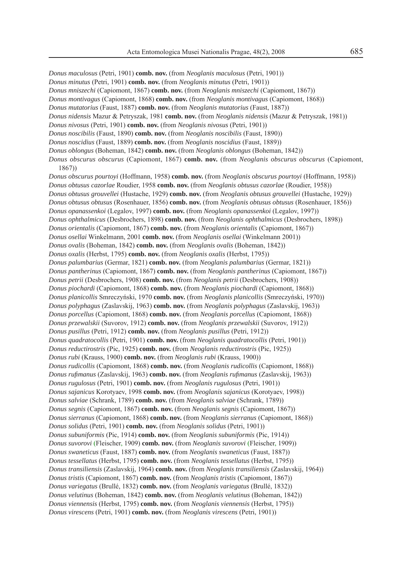*Donus maculosus* (Petri, 1901) **comb. nov.** (from *Neoglanis maculosus* (Petri, 1901)) *Donus minutus* (Petri, 1901) **comb. nov.** (from *Neoglanis minutus* (Petri, 1901)) *Donus mniszechi* (Capiomont, 1867) **comb. nov.** (from *Neoglanis mniszechi* (Capiomont, 1867))

*Donus montivagus* (Capiomont, 1868) **comb. nov.** (from *Neoglanis montivagus* (Capiomont, 1868)) *Donus mutatorius* (Faust, 1887) **comb. nov.** (from *Neoglanis mutatorius* (Faust, 1887)) *Donus nidensis* Mazur & Petryszak, 1981 **comb. nov.** (from *Neoglanis nidensis* (Mazur & Petryszak, 1981)) *Donus nivosus* (Petri, 1901) **comb. nov.** (from *Neoglanis nivosus* (Petri, 1901)) *Donus noscibilis* (Faust, 1890) **comb. nov.** (from *Neoglanis noscibilis* (Faust, 1890)) *Donus noscidius* (Faust, 1889) **comb. nov.** (from *Neoglanis noscidius* (Faust, 1889)) *Donus oblongus* (Boheman, 1842) **comb. nov.** (from *Neoglanis oblongus* (Boheman, 1842)) *Donus obscurus obscurus* (Capiomont, 1867) **comb. nov.** (from *Neoglanis obscurus obscurus* (Capiomont, 1867)) *Donus obscurus pourtoyi* (Hoffmann, 1958) **comb. nov.** (from *Neoglanis obscurus pourtoyi* (Hoffmann, 1958)) *Donus obtusus cazorlae* Roudier, 1958 **comb. nov.** (from *Neoglanis obtusus cazorlae* (Roudier, 1958)) *Donus obtusus grouvellei* (Hustache, 1929) **comb. nov.** (from *Neoglanis obtusus grouvellei* (Hustache, 1929)) *Donus obtusus obtusus* (Rosenhauer, 1856) **comb. nov.** (from *Neoglanis obtusus obtusus* (Rosenhauer, 1856)) *Donus opanassenkoi* (Legalov, 1997) **comb. nov.** (from *Neoglanis opanassenkoi* (Legalov, 1997)) *Donus ophthalmicus* (Desbrochers, 1898) **comb. nov.** (from *Neoglanis ophthalmicus* (Desbrochers, 1898)) *Donus orientalis* (Capiomont, 1867) **comb. nov.** (from *Neoglanis orientalis* (Capiomont, 1867)) *Donus osellai* Winkelmann, 2001 **comb. nov.** (from *Neoglanis osellai* (Winkelmann 2001)) *Donus ovalis* (Boheman, 1842) **comb. nov.** (from *Neoglanis ovalis* (Boheman, 1842)) *Donus oxalis* (Herbst, 1795) **comb. nov.** (from *Neoglanis oxalis* (Herbst, 1795)) *Donus palumbarius* (Germar, 1821) **comb. nov.** (from *Neoglanis palumbarius* (Germar, 1821)) *Donus pantherinus* (Capiomont, 1867) **comb. nov.** (from *Neoglanis pantherinus* (Capiomont, 1867)) *Donus petrii* (Desbrochers, 1908) **comb. nov.** (from *Neoglanis petrii* (Desbrochers, 1908)) *Donus piochardi* (Capiomont, 1868) **comb. nov.** (from *Neoglanis piochardi* (Capiomont, 1868)) *Donus planicollis* Smreczyński, 1970 **comb. nov.** (from *Neoglanis planicollis* (Smreczyński, 1970)) *Donus polyphagus* (Zaslavskij, 1963) **comb. nov.** (from *Neoglanis polyphagus* (Zaslavskij, 1963)) *Donus porcellus* (Capiomont, 1868) **comb. nov.** (from *Neoglanis porcellus* (Capiomont, 1868)) *Donus przewalskii* (Suvorov, 1912) **comb. nov.** (from *Neoglanis przewalskii* (Suvorov, 1912)) *Donus pusillus* (Petri, 1912) **comb. nov.** (from *Neoglanis pusillus* (Petri, 1912)) *Donus quadratocollis* (Petri, 1901) **comb. nov.** (from *Neoglanis quadratocollis* (Petri, 1901)) *Donus reductirostris* (Pic, 1925) **comb. nov.** (from *Neoglanis reductirostris* (Pic, 1925)) *Donus rubi* (Krauss, 1900) **comb. nov.** (from *Neoglanis rubi* (Krauss, 1900)) *Donus rudicollis* (Capiomont, 1868) **comb. nov.** (from *Neoglanis rudicollis* (Capiomont, 1868)) *Donus rufi manus* (Zaslavskij, 1963) **comb. nov.** (from *Neoglanis rufi manus* (Zaslavskij, 1963)) *Donus rugulosus* (Petri, 1901) **comb. nov.** (from *Neoglanis rugulosus* (Petri, 1901)) *Donus sajanicus* Korotyaev, 1998 **comb. nov.** (from *Neoglanis sajanicus* (Korotyaev, 1998)) *Donus salviae* (Schrank, 1789) **comb. nov.** (from *Neoglanis salviae* (Schrank, 1789)) *Donus segnis* (Capiomont, 1867) **comb. nov.** (from *Neoglanis segnis* (Capiomont, 1867)) *Donus sierranus* (Capiomont, 1868) **comb. nov.** (from *Neoglanis sierranus* (Capiomont, 1868)) *Donus solidus* (Petri, 1901) **comb. nov.** (from *Neoglanis solidus* (Petri, 1901)) *Donus subuniformis* (Pic, 1914) **comb. nov.** (from *Neoglanis subuniformis* (Pic, 1914)) *Donus suvorovi* (Fleischer, 1909) **comb. nov.** (from *Neoglanis suvorovi* (Fleischer, 1909)) *Donus swaneticus* (Faust, 1887) **comb. nov.** (from *Neoglanis swaneticus* (Faust, 1887)) *Donus tessellatus* (Herbst, 1795) **comb. nov.** (from *Neoglanis tessellatus* (Herbst, 1795)) *Donus transiliensis* (Zaslavskij, 1964) **comb. nov.** (from *Neoglanis transiliensis* (Zaslavskij, 1964)) *Donus tristis* (Capiomont, 1867) **comb. nov.** (from *Neoglanis tristis* (Capiomont, 1867)) *Donus variegatus* (Brullé, 1832) **comb. nov.** (from *Neoglanis variegatus* (Brullé, 1832)) *Donus velutinus* (Boheman, 1842) **comb. nov.** (from *Neoglanis velutinus* (Boheman, 1842)) *Donus viennensis* (Herbst, 1795) **comb. nov.** (from *Neoglanis viennensis* (Herbst, 1795))

*Donus virescens* (Petri, 1901) **comb. nov.** (from *Neoglanis virescens* (Petri, 1901))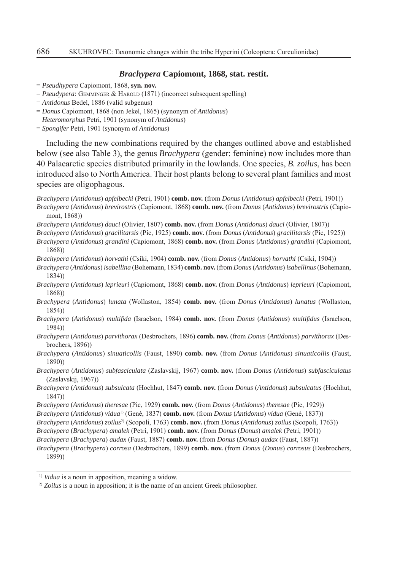#### *Brachypera* **Capiomont, 1868, stat. restit.**

- = *Pseudhypera* Capiomont, 1868, **syn. nov.**
- = *Pseudypera*: GEMMINGER & HAROLD (1871) (incorrect subsequent spelling)
- = *Antidonus* Bedel, 1886 (valid subgenus)
- = *Donus* Capiomont, 1868 (non Jekel, 1865) (synonym of *Antidonus*)
- = *Heteromorphus* Petri, 1901 (synonym of *Antidonus*)
- = *Spongifer* Petri, 1901 (synonym of *Antidonus*)

Including the new combinations required by the changes outlined above and established below (see also Table 3), the genus *Brachypera* (gender: feminine) now includes more than 40 Palaearctic species distributed primarily in the lowlands. One species, *B. zoilus*, has been introduced also to North America. Their host plants belong to several plant families and most species are oligophagous.

*Brachypera* (*Antidonus*) *apfelbecki* (Petri, 1901) **comb. nov.** (from *Donus* (*Antidonus*) *apfelbecki* (Petri, 1901)) *Brachypera* (*Antidonus*) *brevirostris* (Capiomont, 1868) **comb. nov.** (from *Donus* (*Antidonus*) *brevirostris* (Capiomont, 1868))

- *Brachypera* (*Antidonus*) *dauci* (Olivier, 1807) **comb. nov.** (from *Donus* (*Antidonus*) *dauci* (Olivier, 1807))
- *Brachypera* (*Antidonus*) *gracilitarsis* (Pic, 1925) **comb. nov.** (from *Donus* (*Antidonus*) *gracilitarsis* (Pic, 1925))
- *Brachypera* (*Antidonus*) *grandini* (Capiomont, 1868) **comb. nov.** (from *Donus* (*Antidonus*) *grandini* (Capiomont, 1868))
- *Brachypera* (*Antidonus*) *horvathi* (Csiki, 1904) **comb. nov.** (from *Donus* (*Antidonus*) *horvathi* (Csiki, 1904))
- *Brachypera* (*Antidonus*) *isabellina* (Bohemann, 1834) **comb. nov.** (from *Donus* (*Antidonus*) *isabellinus* (Bohemann, 1834))
- *Brachypera* (*Antidonus*) *leprieuri* (Capiomont, 1868) **comb. nov.** (from *Donus* (*Antidonus*) *leprieuri* (Capiomont, 1868))
- *Brachypera* (*Antidonus*) *lunata* (Wollaston, 1854) **comb. nov.** (from *Donus* (*Antidonus*) *lunatus* (Wollaston, 1854))
- *Brachypera* (*Antidonus*) *multifi da* (Israelson, 1984) **comb. nov.** (from *Donus* (*Antidonus*) *multifi dus* (Israelson, 1984))
- *Brachypera* (*Antidonus*) *parvithorax* (Desbrochers, 1896) **comb. nov.** (from *Donus* (*Antidonus*) *parvithorax* (Desbrochers, 1896))
- *Brachypera* (*Antidonus*) *sinuaticollis* (Faust, 1890) **comb. nov.** (from *Donus* (*Antidonus*) *sinuaticollis* (Faust, 1890))
- *Brachypera* (*Antidonus*) *subfasciculata* (Zaslavskij, 1967) **comb. nov.** (from *Donus* (*Antidonus*) *subfasciculatus* (Zaslavskij, 1967))
- *Brachypera* (*Antidonus*) *subsulcata* (Hochhut, 1847) **comb. nov.** (from *Donus* (*Antidonus*) *subsulcatus* (Hochhut, 1847))
- *Brachypera* (*Antidonus*) *theresae* (Pic, 1929) **comb. nov.** (from *Donus* (*Antidonus*) *theresae* (Pic, 1929))
- *Brachypera* (*Antidonus*) *vidua*1) (Gené, 1837) **comb. nov.** (from *Donus* (*Antidonus*) *vidua* (Gené, 1837))

*Brachypera* (*Antidonus*) *zoilus*2) (Scopoli, 1763) **comb. nov.** (from *Donus* (*Antidonus*) *zoilus* (Scopoli, 1763))

- *Brachypera* (*Brachypera*) *amalek* (Petri, 1901) **comb. nov.** (from *Donus* (*Donus*) *amalek* (Petri, 1901))
- *Brachypera* (*Brachypera*) *audax* (Faust, 1887) **comb. nov.** (from *Donus* (*Donus*) *audax* (Faust, 1887))

*Brachypera* (*Brachypera*) *corrosa* (Desbrochers, 1899) **comb. nov.** (from *Donus* (*Donus*) *corrosus* (Desbrochers, 1899))

<sup>&</sup>lt;sup>1)</sup> *Vidua* is a noun in apposition, meaning a widow.

<sup>2)</sup> *Zoilus* is a noun in apposition; it is the name of an ancient Greek philosopher.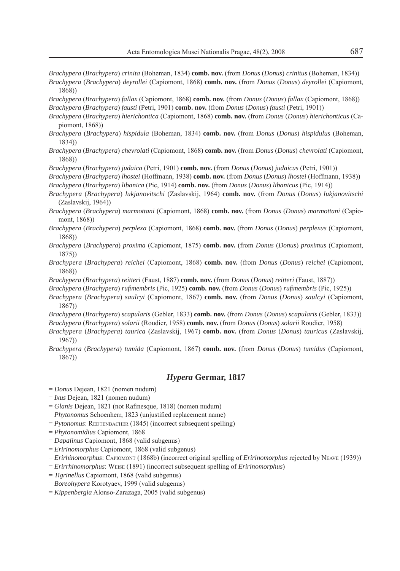- *Brachypera* (*Brachypera*) *crinita* (Boheman, 1834) **comb. nov.** (from *Donus* (*Donus*) *crinitus* (Boheman, 1834)) *Brachypera* (*Brachypera*) *deyrollei* (Capiomont, 1868) **comb. nov.** (from *Donus* (*Donus*) *deyrollei* (Capiomont,
- *Brachypera* (*Brachypera*) *fallax* (Capiomont, 1868) **comb. nov.** (from *Donus* (*Donus*) *fallax* (Capiomont, 1868)) *Brachypera* (*Brachypera*) *fausti* (Petri, 1901) **comb. nov.** (from *Donus* (*Donus*) *fausti* (Petri, 1901))
- *Brachypera* (*Brachypera*) *hierichontica* (Capiomont, 1868) **comb. nov.** (from *Donus* (*Donus*) *hierichonticus* (Capiomont, 1868))
- *Brachypera* (*Brachypera*) *hispidula* (Boheman, 1834) **comb. nov.** (from *Donus* (*Donus*) *hispidulus* (Boheman, 1834))
- *Brachypera* (*Brachypera*) *chevrolati* (Capiomont, 1868) **comb. nov.** (from *Donus* (*Donus*) *chevrolati* (Capiomont, 1868))
- *Brachypera* (*Brachypera*) *judaica* (Petri, 1901) **comb. nov.** (from *Donus* (*Donus*) *judaicus* (Petri, 1901))
- *Brachypera* (*Brachypera*) *lhostei* (Hoffmann, 1938) **comb. nov.** (from *Donus* (*Donus*) *lhostei* (Hoffmann, 1938))
- *Brachypera* (*Brachypera*) *libanica* (Pic, 1914) **comb. nov.** (from *Donus* (*Donus*) *libanicus* (Pic, 1914))
- *Brachypera* (*Brachypera*) *lukjanovitschi* (Zaslavskij, 1964) **comb. nov.** (from *Donus* (*Donus*) *lukjanovitschi* (Zaslavskij, 1964))
- *Brachypera* (*Brachypera*) *marmottani* (Capiomont, 1868) **comb. nov.** (from *Donus* (*Donus*) *marmottani* (Capiomont, 1868))
- *Brachypera* (*Brachypera*) *perplexa* (Capiomont, 1868) **comb. nov.** (from *Donus* (*Donus*) *perplexus* (Capiomont, 1868))
- *Brachypera* (*Brachypera*) *proxima* (Capiomont, 1875) **comb. nov.** (from *Donus* (*Donus*) *proximus* (Capiomont, 1875))
- *Brachypera* (*Brachypera*) *reichei* (Capiomont, 1868) **comb. nov.** (from *Donus* (*Donus*) *reichei* (Capiomont, 1868))
- *Brachypera* (*Brachypera*) *reitteri* (Faust, 1887) **comb. nov.** (from *Donus* (*Donus*) *reitteri* (Faust, 1887))
- *Brachypera* (*Brachypera*) *rufi membris* (Pic, 1925) **comb. nov.** (from *Donus* (*Donus*) *rufi membris* (Pic, 1925))
- *Brachypera* (*Brachypera*) *saulcyi* (Capiomont, 1867) **comb. nov.** (from *Donus* (*Donus*) *saulcyi* (Capiomont, 1867))
- *Brachypera* (*Brachypera*) *scapularis* (Gebler, 1833) **comb. nov.** (from *Donus* (*Donus*) *scapularis* (Gebler, 1833)) *Brachypera* (*Brachypera*) *solarii* (Roudier, 1958) **comb. nov.** (from *Donus* (*Donus*) *solarii* Roudier, 1958)
- *Brachypera* (*Brachypera*) *taurica* (Zaslavskij, 1967) **comb. nov.** (from *Donus* (*Donus*) *tauricus* (Zaslavskij, 1967))
- *Brachypera* (*Brachypera*) *tumida* (Capiomont, 1867) **comb. nov.** (from *Donus* (*Donus*) *tumidus* (Capiomont, 1867))

## *Hypera* **Germar, 1817**

- = *Donus* Dejean, 1821 (nomen nudum)
- = *Ixus* Dejean, 1821 (nomen nudum)

1868))

- $=$  *Glanis* Dejean, 1821 (not Rafinesque, 1818) (nomen nudum)
- $= *Phytonomus* Schoenherr, 1823 (unjustified replacement name)$
- = *Pytonomus*: REDTENBACHER (1845) (incorrect subsequent spelling)
- = *Phytonomidius* Capiomont, 1868
- = *Dapalinus* Capiomont, 1868 (valid subgenus)
- = *Eririnomorphus* Capiomont, 1868 (valid subgenus)
- = *Erirhinomorphus*: CAPIOMONT (1868b) (incorrect original spelling of *Eririnomorphus* rejected by NEAVE (1939))
- = *Erirrhinomorphus*: WEISE (1891) (incorrect subsequent spelling of *Eririnomorphus*)
- = *Tigrinellus* Capiomont, 1868 (valid subgenus)
- = *Boreohypera* Korotyaev, 1999 (valid subgenus)
- = *Kippenbergia* Alonso-Zarazaga, 2005 (valid subgenus)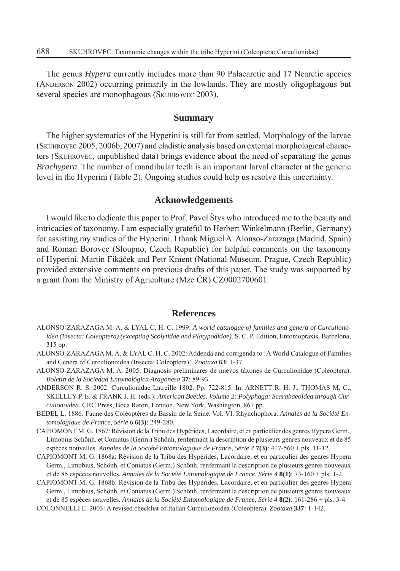The genus *Hypera* currently includes more than 90 Palaearctic and 17 Nearctic species (ANDERSON 2002) occurring primarily in the lowlands. They are mostly oligophagous but several species are monophagous (SKUHROVEC 2003).

# **Summary**

The higher systematics of the Hyperini is still far from settled. Morphology of the larvae (SKUHROVEC 2005, 2006b, 2007) and cladistic analysis based on external morphological characters (SKUHROVEC, unpublished data) brings evidence about the need of separating the genus *Brachypera*. The number of mandibular teeth is an important larval character at the generic level in the Hyperini (Table 2). Ongoing studies could help us resolve this uncertainty.

### **Acknowledgements**

I would like to dedicate this paper to Prof. Pavel Štys who introduced me to the beauty and intricacies of taxonomy. I am especially grateful to Herbert Winkelmann (Berlin, Germany) for assisting my studies of the Hyperini. I thank Miguel A. Alonso-Zarazaga (Madrid, Spain) and Roman Borovec (Sloupno, Czech Republic) for helpful comments on the taxonomy of Hyperini. Martin Fikáček and Petr Kment (National Museum, Prague, Czech Republic) provided extensive comments on previous drafts of this paper. The study was supported by a grant from the Ministry of Agriculture (Mze ČR) CZ0002700601.

## **References**

- ALONSO-ZARAZAGA M. A. & LYAL C. H. C. 1999: *A world catalogue of families and genera of Curculionoidea (Insecta: Coleoptera) (excepting Scolytidae and Platypodidae).* S. C. P. Edition, Entomopraxis, Barcelona, 315 pp.
- ALONSO-ZARAZAGA M. A. & LYAL C. H. C. 2002: Addenda and corrigenda to 'A World Catalogue of Families and Genera of Curculionoidea (Insecta: Coleoptera)'. *Zootaxa* **63**: 1-37.
- ALONSO-ZARAZAGA M. A. 2005: Diagnosis preliminares de nuevos táxones de Curculionidae (Coleoptera). *Boletín de la Sociedad Entomológica Aragonesa* **37**: 89-93.
- ANDERSON R. S. 2002: Curculionidae Latreille 1802. Pp. 722-815. In: ARNETT R. H. J., THOMAS M. C., SKELLEY P. E. & FRANK J. H. (eds.): *American Beetles. Volume 2: Polyphaga: Scarabaeoidea through Curculionoidea.* CRC Press, Boca Raton, London, New York, Washington, 861 pp.
- BEDEL L. 1886: Faune des Coléoptères du Bassin de la Seine. Vol. VI. Rhynchophora. *Annales de la Société Entomologique de France*, *Série 6* **6(3)**: 249-280.
- CAPIOMONT M. G. 1867: Révision de la Tribu des Hypérides, Lacordaire, et en particulier des genres Hypera Germ., Limobius Schönh. et Coniatus (Germ.) Schönh. renfermant la description de plusieurs genres nouveaux et de 85 espèces nouvelles. *Annales de la Société Entomologique de France*, *Série 4* **7(3)**: 417-560 + pls. 11-12.
- CAPIOMONT M. G. 1868a: Révision de la Tribu des Hypérides, Lacordaire, et en particulier des genres Hypera Germ., Limobius, Schönh. et Coniatus (Germ.) Schönh. renfermant la description de plusieurs genres nouveaux et de 85 espèces nouvelles. *Annales de la Société Entomologique de France*, *Série 4* **8(1)**: 73-160 + pls. 1-2.
- CAPIOMONT M. G. 1868b: Révision de la Tribu des Hypérides, Lacordaire, et en particulier des genres Hypera Germ., Limobius, Schönh. et Coniatus (Germ.) Schönh. renfermant la description de plusieurs genres nouveaux et de 85 espèces nouvelles*. Annales de la Société Entomologique de France*, *Série 4* **8(2)**: 161-286 + pls. 3-4.
- COLONNELLI E. 2003: A revised checklist of Italian Curculionoidea (Coleoptera). *Zootaxa* **337**: 1-142.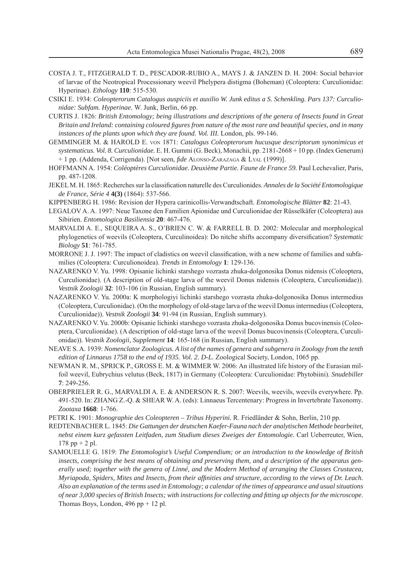- COSTA J. T., FITZGERALD T. D., PESCADOR-RUBIO A., MAYS J. & JANZEN D. H. 2004: Social behavior of larvae of the Neotropical Processionary weevil Phelypera distigma (Boheman) (Coleoptera: Curculionidae: Hyperinae). *Ethology* **110**: 515-530.
- CSIKI E. 1934: *Coleopterorum Catalogus auspiciis et auxilio W. Junk editus a S. Schenkling. Pars 137: Curculionidae: Subfam. Hyperinae.* W. Junk, Berlin, 66 pp.
- CURTIS J. 1826: *British Entomology; being illustrations and descriptions of the genera of Insects found in Great Britain and Ireland: containing coloured fi gures from nature of the most rare and beautiful species, and in many instances of the plants upon which they are found*. *Vol. III.* London, pls. 99-146.
- GEMMINGER M. & HAROLD E. VON 1871: *Catalogus Coleopterorum hucusque descriptorum synonimicus et systematicus. Vol. 8. Curculionidae.* E. H. Gummi (G. Beck), Monachii, pp. 2181-2668 + 10 pp. (Index Generum) + 1 pp. (Addenda, Corrigenda). [Not seen, *fide* ALONSO-ZARAZAGA & LYAL (1999)].
- HOFFMANN A. 1954: Coléoptères Curculionidae. Deuxième Partie. Faune de France 59. Paul Lechevalier, Paris, pp. 487-1208.
- JEKEL M. H. 1865: Recherches sur la classifi cation naturelle des Curculionides. *Annales de la Société Entomologique de France, Série 4* **4(3)** (1864): 537-566.
- KIPPENBERG H. 1986: Revision der Hypera carinicollis-Verwandtschaft. *Entomologische Blätter* **82**: 21-43.
- LEGALOV A. A. 1997: Neue Taxone den Familien Apionidae und Curculionidae der Rüsselkäfer (Coleoptera) aus Sibirien. *Entomologica Basiliensia* **20**: 467-476.
- MARVALDI A. E., SEQUEIRA A. S., O'BRIEN C. W. & FARRELL B. D. 2002: Molecular and morphological phylogenetics of weevils (Coleoptera, Curculinoidea): Do nitche shifts accompany diversification? Systematic *Biology* **51**: 761-785.
- MORRONE J. J. 1997: The impact of cladistics on weevil classification, with a new scheme of families and subfamilies (Coleoptera: Curculionoidea). *Trends in Entomology* **1**: 129-136.
- NAZARENKO V. Yu. 1998: Opisanie lichinki starshego vozrasta zhuka-dolgonosika Donus nidensis (Coleoptera, Curculionidae). (A description of old-stage larva of the weevil Donus nidensis (Coleoptera, Curculionidae)). *Vestnik Zoologii* **32**: 103-106 (in Russian, English summary).
- NAZARENKO V. Yu. 2000a: K morphologiyi lichinki starshego vozrasta zhuka-dolgonosika Donus intermedius (Coleoptera, Curculionidae). (On the morphology of old-stage larva of the weevil Donus intermedius (Coleoptera, Curculionidae)). *Vestnik Zoologii* **34**: 91-94 (in Russian, English summary).
- NAZARENKO V. Yu. 2000b: Opisanie lichinki starshego vozrasta zhuka-dolgonosika Donus bucovinensis (Coleoptera, Curculionidae). (A description of old-stage larva of the weevil Donus bucovinensis (Coleoptera, Curculionidae)). *Vestnik Zoologii, Supplement* **14**: 165-168 (in Russian, English summary).
- NEAVE S. A. 1939: *Nomenclator Zoologicus. A list of the names of genera and subgenera in Zoology from the tenth edition of Linnaeus 1758 to the end of 1935. Vol. 2. D-L.* Zoological Society, London, 1065 pp.
- NEWMAN R. M., SPRICK P., GROSS E. M. & WIMMER W. 2006: An illustrated life history of the Eurasian milfoil weevil, Eubrychius velutus (Beck, 1817) in Germany (Coleoptera: Curculionidae: Phytobiini). *Snudebiller* **7**: 249-256.
- OBERPRIELER R. G., MARVALDI A. E. & ANDERSON R. S. 2007: Weevils, weevils, weevils everywhere. Pp. 491-520. In: ZHANG Z.-Q. & SHEAR W. A. (eds): Linnaeus Tercentenary: Progress in Invertebrate Taxonomy*. Zootaxa* **1668**: 1-766.
- PETRI K. 1901: *Monographie des Coleopteren Tribus Hyperini.* R. Friedländer & Sohn, Berlin, 210 pp.
- REDTENBACHER L. 1845: *Die Gattungen der deutschen Kaefer-Fauna nach der analytischen Methode bearbeitet, nebst einem kurz gefassten Leitfaden, zum Studium dieses Zweiges der Entomologie.* Carl Ueberreuter, Wien,  $178$  pp  $+ 2$  pl.
- SAMOUELLE G. 1819: *The Entomologist's Useful Compendium; or an introduction to the knowledge of British insects, comprising the best means of obtaining and preserving them, and a description of the apparatus gen*erally used; together with the genera of Linné, and the Modern Method of arranging the Classes Crustacea, *Myriapoda, Spiders, Mites and Insects, from their affi nities and structure, according to the views of Dr. Leach. Also an explanation of the terms used in Entomology; a calendar of the times of appearance and usual situations of near 3,000 species of British Insects; with instructions for collecting and fi tting up objects for the microscope*. Thomas Boys, London,  $496$  pp  $+ 12$  pl.